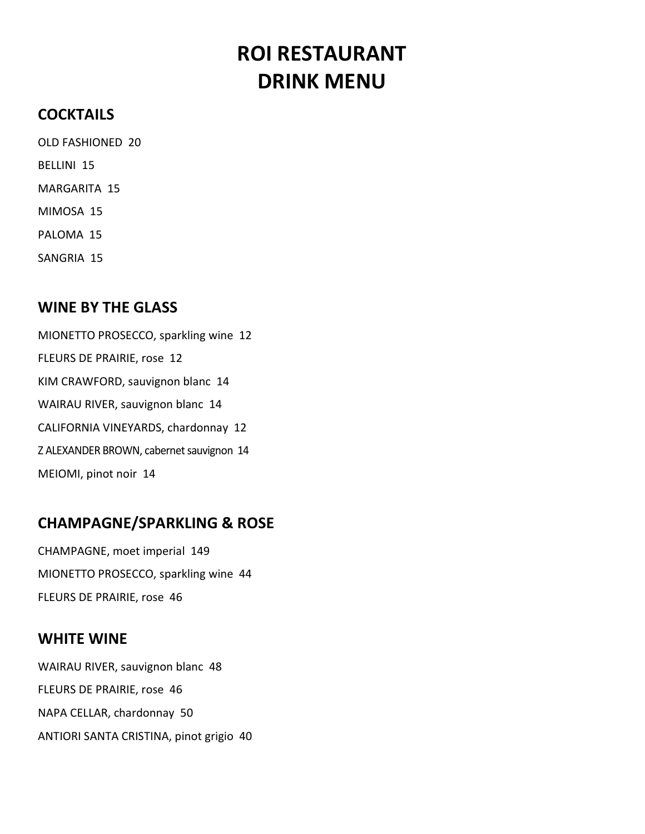# ROI RESTAURANT DRINK MENU

# **COCKTAILS**

 OLD FASHIONED 20 BELLINI 15 MARGARITA 15 MIMOSA 15

PALOMA 15

SANGRIA 15

#### WINE BY THE GLASS

 MIONETTO PROSECCO, sparkling wine 12 FLEURS DE PRAIRIE, rose 12 KIM CRAWFORD, sauvignon blanc 14 WAIRAU RIVER, sauvignon blanc 14 CALIFORNIA VINEYARDS, chardonnay 12 Z ALEXANDER BROWN, cabernet sauvignon 14 MEIOMI, pinot noir 14

#### CHAMPAGNE/SPARKLING & ROSE

 CHAMPAGNE, moet imperial 149 MIONETTO PROSECCO, sparkling wine 44 FLEURS DE PRAIRIE, rose 46

#### WHITE WINE

 WAIRAU RIVER, sauvignon blanc 48 FLEURS DE PRAIRIE, rose 46 NAPA CELLAR, chardonnay 50 ANTIORI SANTA CRISTINA, pinot grigio 40